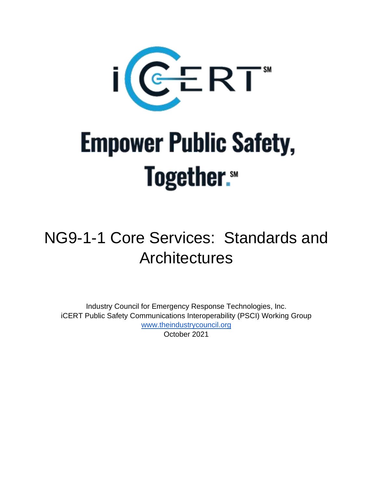

# **Empower Public Safety, Together.**

# NG9-1-1 Core Services: Standards and **Architectures**

Industry Council for Emergency Response Technologies, Inc. iCERT Public Safety Communications Interoperability (PSCI) Working Group [www.theindustrycouncil.org](http://www.theindustrycouncil.org/) October 2021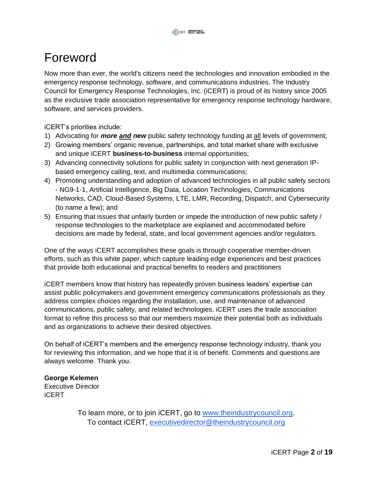## <span id="page-1-0"></span>Foreword

Now more than ever, the world's citizens need the technologies and innovation embodied in the emergency response technology, software, and communications industries. The Industry Council for Emergency Response Technologies, Inc. (iCERT) is proud of its history since 2005 as the exclusive trade association representative for emergency response technology hardware, software, and services providers.

iCERT's priorities include:

- 1) Advocating for *more and new* public safety technology funding at all levels of government;
- 2) Growing members' organic revenue, partnerships, and total market share with exclusive and unique iCERT **business-to-business** internal opportunities;
- 3) Advancing connectivity solutions for public safety in conjunction with next generation IPbased emergency calling, text, and multimedia communications;
- 4) Promoting understanding and adoption of advanced technologies in all public safety sectors - NG9-1-1, Artificial Intelligence, Big Data, Location Technologies, Communications Networks, CAD, Cloud-Based Systems, LTE, LMR, Recording, Dispatch, and Cybersecurity (to name a few); and
- 5) Ensuring that issues that unfairly burden or impede the introduction of new public safety / response technologies to the marketplace are explained and accommodated before decisions are made by federal, state, and local government agencies and/or regulators.

One of the ways iCERT accomplishes these goals is through cooperative member-driven efforts, such as this white paper, which capture leading edge experiences and best practices that provide both educational and practical benefits to readers and practitioners

iCERT members know that history has repeatedly proven business leaders' expertise can assist public policymakers and government emergency communications professionals as they address complex choices regarding the installation, use, and maintenance of advanced communications, public safety, and related technologies. iCERT uses the trade association format to refine this process so that our members maximize their potential both as individuals and as organizations to achieve their desired objectives.

On behalf of iCERT's members and the emergency response technology industry, thank you for reviewing this information, and we hope that it is of benefit. Comments and questions are always welcome. Thank you.

**George Kelemen** Executive Director iCERT

> To learn more, or to join iCERT, go to [www.theindustrycouncil.org.](http://www.theindustrycouncil.org/) To contact iCERT, [executivedirector@theindustrycouncil.org](mailto:executivedirector@theindustrycouncil.org)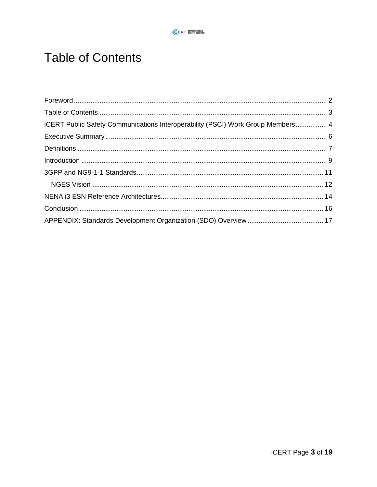## <span id="page-2-0"></span>**Table of Contents**

| iCERT Public Safety Communications Interoperability (PSCI) Work Group Members 4 |  |
|---------------------------------------------------------------------------------|--|
|                                                                                 |  |
|                                                                                 |  |
|                                                                                 |  |
|                                                                                 |  |
|                                                                                 |  |
|                                                                                 |  |
|                                                                                 |  |
|                                                                                 |  |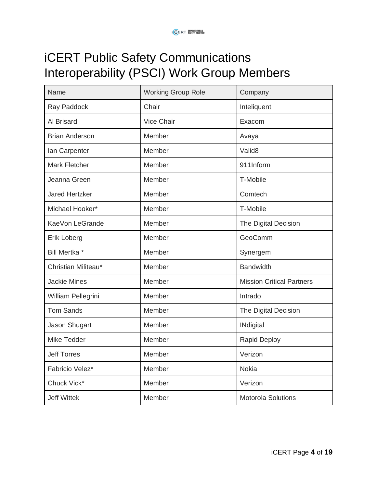# <span id="page-3-0"></span>iCERT Public Safety Communications Interoperability (PSCI) Work Group Members

| Name                  | <b>Working Group Role</b> | Company                          |
|-----------------------|---------------------------|----------------------------------|
| Ray Paddock           | Chair                     | Inteliquent                      |
| Al Brisard            | Vice Chair                | Exacom                           |
| <b>Brian Anderson</b> | Member                    | Avaya                            |
| lan Carpenter         | Member                    | Valid <sub>8</sub>               |
| <b>Mark Fletcher</b>  | Member                    | 911Inform                        |
| Jeanna Green          | Member                    | T-Mobile                         |
| <b>Jared Hertzker</b> | Member                    | Comtech                          |
| Michael Hooker*       | Member                    | T-Mobile                         |
| KaeVon LeGrande       | Member                    | The Digital Decision             |
| Erik Loberg           | Member                    | GeoComm                          |
| Bill Mertka *         | Member                    | Synergem                         |
| Christian Militeau*   | Member                    | <b>Bandwidth</b>                 |
| <b>Jackie Mines</b>   | Member                    | <b>Mission Critical Partners</b> |
| William Pellegrini    | Member                    | Intrado                          |
| <b>Tom Sands</b>      | Member                    | The Digital Decision             |
| Jason Shugart         | Member                    | <b>INdigital</b>                 |
| Mike Tedder           | Member                    | <b>Rapid Deploy</b>              |
| <b>Jeff Torres</b>    | Member                    | Verizon                          |
| Fabricio Velez*       | Member                    | <b>Nokia</b>                     |
| Chuck Vick*           | Member                    | Verizon                          |
| <b>Jeff Wittek</b>    | Member                    | <b>Motorola Solutions</b>        |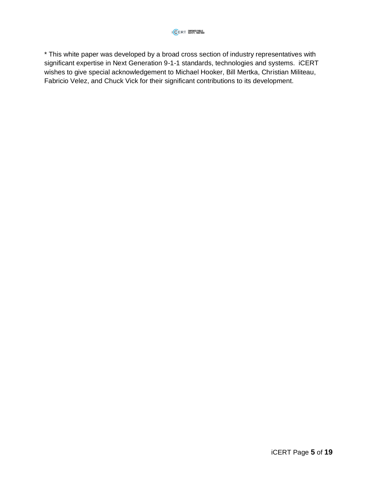\* This white paper was developed by a broad cross section of industry representatives with significant expertise in Next Generation 9-1-1 standards, technologies and systems. iCERT wishes to give special acknowledgement to Michael Hooker, Bill Mertka, Christian Militeau, Fabricio Velez, and Chuck Vick for their significant contributions to its development.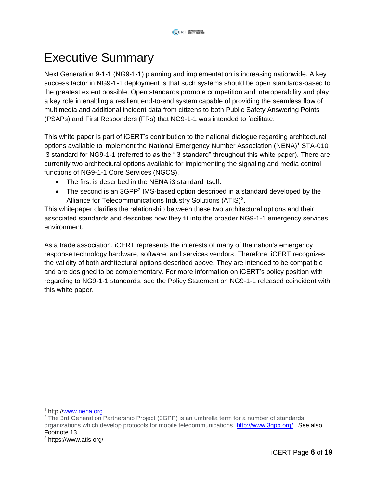## <span id="page-5-0"></span>Executive Summary

Next Generation 9-1-1 (NG9-1-1) planning and implementation is increasing nationwide. A key success factor in NG9-1-1 deployment is that such systems should be open standards-based to the greatest extent possible. Open standards promote competition and interoperability and play a key role in enabling a resilient end-to-end system capable of providing the seamless flow of multimedia and additional incident data from citizens to both Public Safety Answering Points (PSAPs) and First Responders (FRs) that NG9-1-1 was intended to facilitate.

This white paper is part of iCERT's contribution to the national dialogue regarding architectural options available to implement the National Emergency Number Association (NENA)<sup>1</sup> STA-010 i3 standard for NG9-1-1 (referred to as the "i3 standard" throughout this white paper). There are currently two architectural options available for implementing the signaling and media control functions of NG9-1-1 Core Services (NGCS).

- The first is described in the NENA i3 standard itself.
- The second is an 3GPP<sup>2</sup> IMS-based option described in a standard developed by the Alliance for Telecommunications Industry Solutions (ATIS)<sup>3</sup>.

This whitepaper clarifies the relationship between these two architectural options and their associated standards and describes how they fit into the broader NG9-1-1 emergency services environment.

As a trade association, iCERT represents the interests of many of the nation's emergency response technology hardware, software, and services vendors. Therefore, iCERT recognizes the validity of both architectural options described above. They are intended to be compatible and are designed to be complementary. For more information on iCERT's policy position with regarding to NG9-1-1 standards, see the Policy Statement on NG9-1-1 released coincident with this white paper.

<sup>&</sup>lt;sup>1</sup> http:/[/www.nena.org](http://www.nena.org/)

<sup>2</sup> The 3rd Generation Partnership Project (3GPP) is an umbrella term for a number of standards organizations which develop protocols for mobile telecommunications. <http://www.3gpp.org/>See also Footnote 13.

<sup>3</sup> https://www.atis.org/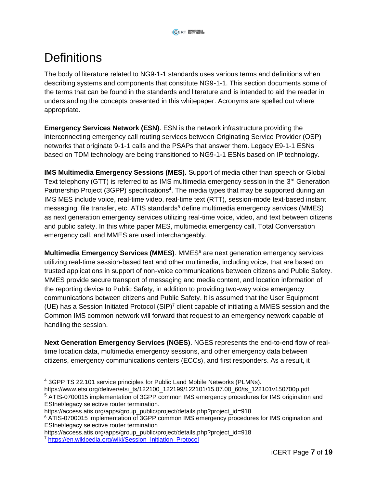## <span id="page-6-0"></span>**Definitions**

The body of literature related to NG9-1-1 standards uses various terms and definitions when describing systems and components that constitute NG9-1-1. This section documents some of the terms that can be found in the standards and literature and is intended to aid the reader in understanding the concepts presented in this whitepaper. Acronyms are spelled out where appropriate.

**Emergency Services Network (ESN)**. ESN is the network infrastructure providing the interconnecting emergency call routing services between Originating Service Provider (OSP) networks that originate 9-1-1 calls and the PSAPs that answer them. Legacy E9-1-1 ESNs based on TDM technology are being transitioned to NG9-1-1 ESNs based on IP technology.

**IMS Multimedia Emergency Sessions (MES).** Support of media other than speech or Global Text telephony (GTT) is referred to as IMS multimedia emergency session in the 3<sup>rd</sup> Generation Partnership Project (3GPP) specifications<sup>4</sup>. The media types that may be supported during an IMS MES include voice, real-time video, real-time text (RTT), session-mode text-based instant messaging, file transfer, etc. ATIS standards<sup>5</sup> define multimedia emergency services (MMES) as next generation emergency services utilizing real-time voice, video, and text between citizens and public safety. In this white paper MES, multimedia emergency call, Total Conversation emergency call, and MMES are used interchangeably.

**Multimedia Emergency Services (MMES)**. MMES<sup>6</sup> are next generation emergency services utilizing real-time session-based text and other multimedia, including voice, that are based on trusted applications in support of non-voice communications between citizens and Public Safety. MMES provide secure transport of messaging and media content, and location information of the reporting device to Public Safety, in addition to providing two-way voice emergency communications between citizens and Public Safety. It is assumed that the User Equipment (UE) has a Session Initiated Protocol (SIP)<sup>7</sup> client capable of initiating a MMES session and the Common IMS common network will forward that request to an emergency network capable of handling the session.

**Next Generation Emergency Services (NGES)**. NGES represents the end-to-end flow of realtime location data, multimedia emergency sessions, and other emergency data between citizens, emergency communications centers (ECCs), and first responders. As a result, it

https://access.atis.org/apps/group\_public/project/details.php?project\_id=918

<sup>&</sup>lt;sup>4</sup> 3GPP TS 22.101 service principles for Public Land Mobile Networks (PLMNs).

https://www.etsi.org/deliver/etsi\_ts/122100\_122199/122101/15.07.00\_60/ts\_122101v150700p.pdf <sup>5</sup> ATIS-0700015 implementation of 3GPP common IMS emergency procedures for IMS origination and ESInet/legacy selective router termination.

https://access.atis.org/apps/group\_public/project/details.php?project\_id=918

<sup>6</sup> ATIS-0700015 implementation of 3GPP common IMS emergency procedures for IMS origination and ESInet/legacy selective router termination

<sup>7</sup> [https://en.wikipedia.org/wiki/Session\\_Initiation\\_Protocol](https://en.wikipedia.org/wiki/Session_Initiation_Protocol)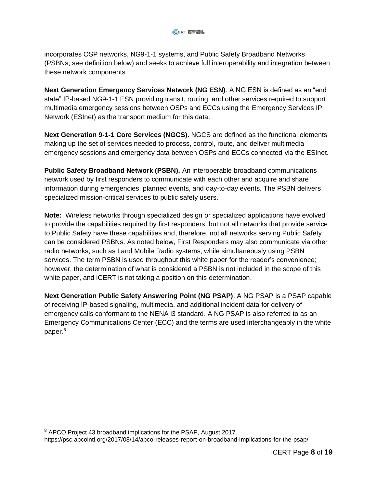incorporates OSP networks, NG9-1-1 systems, and Public Safety Broadband Networks (PSBNs; see definition below) and seeks to achieve full interoperability and integration between these network components.

**Next Generation Emergency Services Network (NG ESN)**. A NG ESN is defined as an "end state" IP-based NG9-1-1 ESN providing transit, routing, and other services required to support multimedia emergency sessions between OSPs and ECCs using the Emergency Services IP Network (ESInet) as the transport medium for this data.

**Next Generation 9-1-1 Core Services (NGCS).** NGCS are defined as the functional elements making up the set of services needed to process, control, route, and deliver multimedia emergency sessions and emergency data between OSPs and ECCs connected via the ESInet.

**Public Safety Broadband Network (PSBN).** An interoperable broadband communications network used by first responders to communicate with each other and acquire and share information during emergencies, planned events, and day-to-day events. The PSBN delivers specialized mission-critical services to public safety users.

**Note:** Wireless networks through specialized design or specialized applications have evolved to provide the capabilities required by first responders, but not all networks that provide service to Public Safety have these capabilities and, therefore, not all networks serving Public Safety can be considered PSBNs. As noted below, First Responders may also communicate via other radio networks, such as Land Mobile Radio systems, while simultaneously using PSBN services. The term PSBN is used throughout this white paper for the reader's convenience; however, the determination of what is considered a PSBN is not included in the scope of this white paper, and iCERT is not taking a position on this determination.

**Next Generation Public Safety Answering Point (NG PSAP)**. A NG PSAP is a PSAP capable of receiving IP-based signaling, multimedia, and additional incident data for delivery of emergency calls conformant to the NENA i3 standard. A NG PSAP is also referred to as an Emergency Communications Center (ECC) and the terms are used interchangeably in the white paper.<sup>8</sup>

<sup>&</sup>lt;sup>8</sup> APCO Project 43 broadband implications for the PSAP, August 2017.

https://psc.apcointl.org/2017/08/14/apco-releases-report-on-broadband-implications-for-the-psap/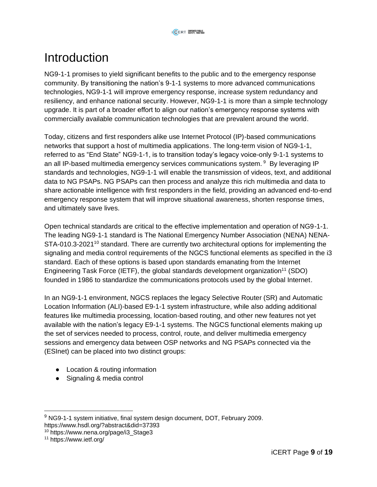## <span id="page-8-0"></span>**Introduction**

NG9-1-1 promises to yield significant benefits to the public and to the emergency response community. By transitioning the nation's 9-1-1 systems to more advanced communications technologies, NG9-1-1 will improve emergency response, increase system redundancy and resiliency, and enhance national security. However, NG9-1-1 is more than a simple technology upgrade. It is part of a broader effort to align our nation's emergency response systems with commercially available communication technologies that are prevalent around the world.

Today, citizens and first responders alike use Internet Protocol (IP)-based communications networks that support a host of multimedia applications. The long-term vision of NG9-1-1, referred to as "End State" NG9-1-1, is to transition today's legacy voice-only 9-1-1 systems to an all IP-based multimedia emergency services communications system. <sup>9</sup> By leveraging IP standards and technologies, NG9-1-1 will enable the transmission of videos, text, and additional data to NG PSAPs. NG PSAPs can then process and analyze this rich multimedia and data to share actionable intelligence with first responders in the field, providing an advanced end-to-end emergency response system that will improve situational awareness, shorten response times, and ultimately save lives.

Open technical standards are critical to the effective implementation and operation of NG9-1-1. The leading NG9-1-1 standard is The National Emergency Number Association (NENA) NENA-STA-010.3-2021<sup>10</sup> standard. There are currently two architectural options for implementing the signaling and media control requirements of the NGCS functional elements as specified in the i3 standard. Each of these options is based upon standards emanating from the Internet Engineering Task Force (IETF), the global standards development organization<sup>11</sup> (SDO) founded in 1986 to standardize the communications protocols used by the global Internet.

In an NG9-1-1 environment, NGCS replaces the legacy Selective Router (SR) and Automatic Location Information (ALI)-based E9-1-1 system infrastructure, while also adding additional features like multimedia processing, location-based routing, and other new features not yet available with the nation's legacy E9-1-1 systems. The NGCS functional elements making up the set of services needed to process, control, route, and deliver multimedia emergency sessions and emergency data between OSP networks and NG PSAPs connected via the (ESInet) can be placed into two distinct groups:

- Location & routing information
- Signaling & media control
- <sup>9</sup> NG9-1-1 system initiative, final system design document, DOT, February 2009. https://www.hsdl.org/?abstract&did=37393

<sup>10</sup> https://www.nena.org/page/i3\_Stage3

<sup>11</sup> https://www.ietf.org/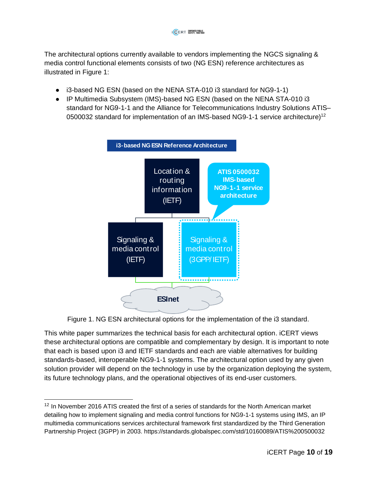The architectural options currently available to vendors implementing the NGCS signaling & media control functional elements consists of two (NG ESN) reference architectures as illustrated in [Figure 1:](#page-9-0)

- i3-based NG ESN (based on the NENA STA-010 i3 standard for NG9-1-1)
- IP Multimedia Subsystem (IMS)-based NG ESN (based on the NENA STA-010 i3 standard for NG9-1-1 and the Alliance for Telecommunications Industry Solutions ATIS– 0500032 standard for implementation of an IMS-based NG9-1-1 service architecture)<sup>12</sup>



Figure 1. NG ESN architectural options for the implementation of the i3 standard.

<span id="page-9-0"></span>This white paper summarizes the technical basis for each architectural option. iCERT views these architectural options are compatible and complementary by design. It is important to note that each is based upon i3 and IETF standards and each are viable alternatives for building standards-based, interoperable NG9-1-1 systems. The architectural option used by any given solution provider will depend on the technology in use by the organization deploying the system, its future technology plans, and the operational objectives of its end-user customers.

<sup>&</sup>lt;sup>12</sup> In November 2016 ATIS created the first of a series of standards for the North American market detailing how to implement signaling and media control functions for NG9-1-1 systems using IMS, an IP multimedia communications services architectural framework first standardized by the Third Generation Partnership Project (3GPP) in 2003. https://standards.globalspec.com/std/10160089/ATIS%200500032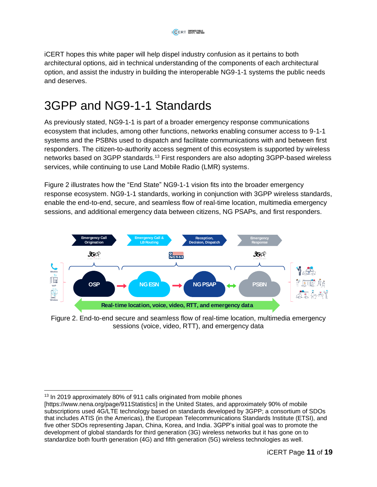iCERT hopes this white paper will help dispel industry confusion as it pertains to both architectural options, aid in technical understanding of the components of each architectural option, and assist the industry in building the interoperable NG9-1-1 systems the public needs and deserves.

## <span id="page-10-0"></span>3GPP and NG9-1-1 Standards

As previously stated, NG9-1-1 is part of a broader emergency response communications ecosystem that includes, among other functions, networks enabling consumer access to 9-1-1 systems and the PSBNs used to dispatch and facilitate communications with and between first responders. The citizen-to-authority access segment of this ecosystem is supported by wireless networks based on 3GPP standards.<sup>13</sup> First responders are also adopting 3GPP-based wireless services, while continuing to use Land Mobile Radio (LMR) systems.

[Figure 2](#page-10-1) illustrates how the "End State" NG9-1-1 vision fits into the broader emergency response ecosystem. NG9-1-1 standards, working in conjunction with 3GPP wireless standards, enable the end-to-end, secure, and seamless flow of real-time location, multimedia emergency sessions, and additional emergency data between citizens, NG PSAPs, and first responders.



<span id="page-10-1"></span>Figure 2. End-to-end secure and seamless flow of real-time location, multimedia emergency sessions (voice, video, RTT), and emergency data

<sup>&</sup>lt;sup>13</sup> In 2019 approximately 80% of 911 calls originated from mobile phones

<sup>[</sup>https://www.nena.org/page/911Statistics] in the United States, and approximately 90% of mobile subscriptions used 4G/LTE technology based on standards developed by 3GPP; a consortium of SDOs that includes ATIS (in the Americas), the European Telecommunications Standards Institute (ETSI), and five other SDOs representing Japan, China, Korea, and India. 3GPP's initial goal was to promote the development of global standards for third generation (3G) wireless networks but it has gone on to standardize both fourth generation (4G) and fifth generation (5G) wireless technologies as well.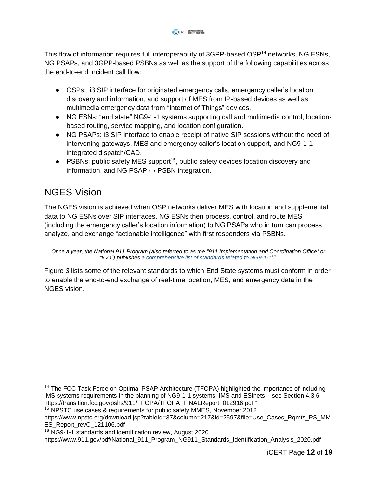This flow of information requires full interoperability of 3GPP-based OSP<sup>14</sup> networks, NG ESNs, NG PSAPs, and 3GPP-based PSBNs as well as the support of the following capabilities across the end-to-end incident call flow:

- OSPs: i3 SIP interface for originated emergency calls, emergency caller's location discovery and information, and support of MES from IP-based devices as well as multimedia emergency data from "Internet of Things" devices.
- NG ESNs: "end state" NG9-1-1 systems supporting call and multimedia control, locationbased routing, service mapping, and location configuration.
- NG PSAPs: i3 SIP interface to enable receipt of native SIP sessions without the need of intervening gateways, MES and emergency caller's location support, and NG9-1-1 integrated dispatch/CAD.
- PSBNs: public safety MES support<sup>15</sup>, public safety devices location discovery and information, and NG PSAP  $\leftrightarrow$  PSBN integration.

## <span id="page-11-0"></span>NGES Vision

The NGES vision is achieved when OSP networks deliver MES with location and supplemental data to NG ESNs over SIP interfaces. NG ESNs then process, control, and route MES (including the emergency caller's location information) to NG PSAPs who in turn can process, analyze, and exchange "actionable intelligence" with first responders via PSBNs.

[Figure](#page-12-0) *3* lists some of the relevant standards to which End State systems must conform in order to enable the end-to-end exchange of real-time location, MES, and emergency data in the NGES vision.

*Once a year, the National 911 Program (also referred to as the "911 Implementation and Coordination Office" or "ICO") publishes a comprehensive list of standards related to NG9-1-1 16 [.](#page-12-0)* 

<sup>&</sup>lt;sup>14</sup> The FCC Task Force on Optimal PSAP Architecture (TFOPA) highlighted the importance of including IMS systems requirements in the planning of NG9-1-1 systems. IMS and ESInets – see Section 4.3.6 https://transition.fcc.gov/pshs/911/TFOPA/TFOPA\_FINALReport\_012916.pdf "

<sup>&</sup>lt;sup>15</sup> NPSTC use cases & requirements for public safety MMES, November 2012.

https://www.npstc.org/download.jsp?tableId=37&column=217&id=2597&file=Use\_Cases\_Rqmts\_PS\_MM ES\_Report\_revC\_121106.pdf

<sup>&</sup>lt;sup>16</sup> NG9-1-1 standards and identification review, August 2020.

https://www.911.gov/pdf/National\_911\_Program\_NG911\_Standards\_Identification\_Analysis\_2020.pdf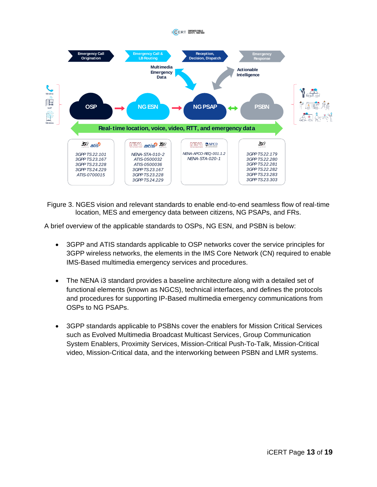

<span id="page-12-0"></span>Figure 3. NGES vision and relevant standards to enable end-to-end seamless flow of real-time location, MES and emergency data between citizens, NG PSAPs, and FRs.

A brief overview of the applicable standards to OSPs, NG ESN, and PSBN is below:

- 3GPP and ATIS standards applicable to OSP networks cover the service principles for 3GPP wireless networks, the elements in the IMS Core Network (CN) required to enable IMS-Based multimedia emergency services and procedures.
- The NENA i3 standard provides a baseline architecture along with a detailed set of functional elements (known as NGCS), technical interfaces, and defines the protocols and procedures for supporting IP-Based multimedia emergency communications from OSPs to NG PSAPs.
- 3GPP standards applicable to PSBNs cover the enablers for Mission Critical Services such as Evolved Multimedia Broadcast Multicast Services, Group Communication System Enablers, Proximity Services, Mission-Critical Push-To-Talk, Mission-Critical video, Mission-Critical data, and the interworking between PSBN and LMR systems.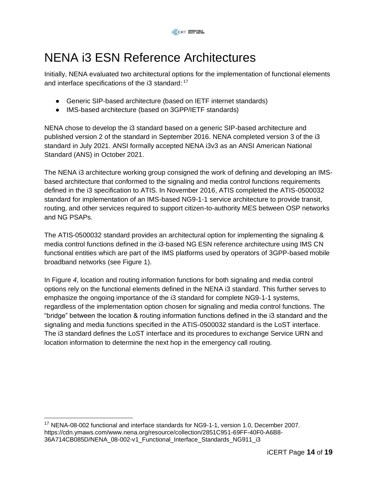## <span id="page-13-0"></span>NENA i3 ESN Reference Architectures

Initially, NENA evaluated two architectural options for the implementation of functional elements and interface specifications of the i3 standard: <sup>17</sup>

- Generic SIP-based architecture (based on IETF internet standards)
- IMS-based architecture (based on 3GPP/IETF standards)

NENA chose to develop the i3 standard based on a generic SIP-based architecture and published version 2 of the standard in September 2016. NENA completed version 3 of the i3 standard in July 2021. ANSI formally accepted NENA i3v3 as an ANSI American National Standard (ANS) in October 2021.

The NENA i3 architecture working group consigned the work of defining and developing an IMSbased architecture that conformed to the signaling and media control functions requirements defined in the i3 specification to ATIS. In November 2016, ATIS completed the ATIS-0500032 standard for implementation of an IMS-based NG9-1-1 service architecture to provide transit, routing, and other services required to support citizen-to-authority MES between OSP networks and NG PSAPs.

The ATIS-0500032 standard provides an architectural option for implementing the signaling & media control functions defined in the i3-based NG ESN reference architecture using IMS CN functional entities which are part of the IMS platforms used by operators of 3GPP-based mobile broadband networks (see [Figure 1\)](#page-9-0).

In [Figure](#page-14-0) *4*, location and routing information functions for both signaling and media control options rely on the functional elements defined in the NENA i3 standard. This further serves to emphasize the ongoing importance of the i3 standard for complete NG9-1-1 systems, regardless of the implementation option chosen for signaling and media control functions. The "bridge" between the location & routing information functions defined in the i3 standard and the signaling and media functions specified in the ATIS-0500032 standard is the LoST interface. The i3 standard defines the LoST interface and its procedures to exchange Service URN and location information to determine the next hop in the emergency call routing.

<sup>17</sup> NENA-08-002 functional and interface standards for NG9-1-1, version 1.0, December 2007. https://cdn.ymaws.com/www.nena.org/resource/collection/2851C951-69FF-40F0-A6B8- 36A714CB085D/NENA\_08-002-v1\_Functional\_Interface\_Standards\_NG911\_i3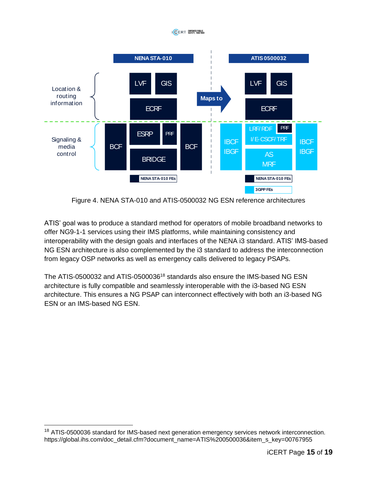#### **ICERT WOMERPULLE**



Figure 4. NENA STA-010 and ATIS-0500032 NG ESN reference architectures

<span id="page-14-0"></span>ATIS' goal was to produce a standard method for operators of mobile broadband networks to offer NG9-1-1 services using their IMS platforms, while maintaining consistency and interoperability with the design goals and interfaces of the NENA i3 standard. ATIS' IMS-based NG ESN architecture is also complemented by the i3 standard to address the interconnection from legacy OSP networks as well as emergency calls delivered to legacy PSAPs.

The ATIS-0500032 and ATIS-0500036<sup>18</sup> standards also ensure the IMS-based NG ESN architecture is fully compatible and seamlessly interoperable with the i3-based NG ESN architecture. This ensures a NG PSAP can interconnect effectively with both an i3-based NG ESN or an IMS-based NG ESN.

<sup>&</sup>lt;sup>18</sup> ATIS-0500036 standard for IMS-based next generation emergency services network interconnection. https://global.ihs.com/doc\_detail.cfm?document\_name=ATIS%200500036&item\_s\_key=00767955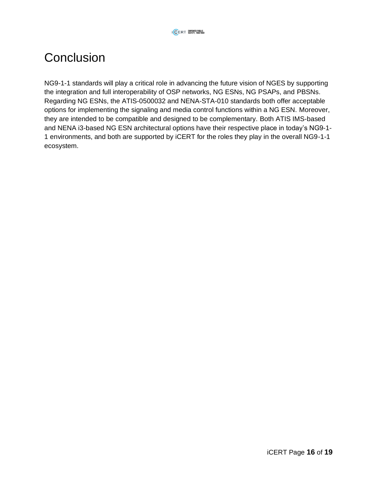## <span id="page-15-0"></span>**Conclusion**

NG9-1-1 standards will play a critical role in advancing the future vision of NGES by supporting the integration and full interoperability of OSP networks, NG ESNs, NG PSAPs, and PBSNs. Regarding NG ESNs, the ATIS-0500032 and NENA-STA-010 standards both offer acceptable options for implementing the signaling and media control functions within a NG ESN. Moreover, they are intended to be compatible and designed to be complementary. Both ATIS IMS-based and NENA i3-based NG ESN architectural options have their respective place in today's NG9-1- 1 environments, and both are supported by iCERT for the roles they play in the overall NG9-1-1 ecosystem.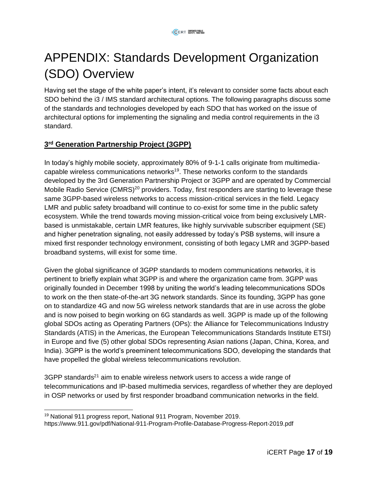# <span id="page-16-0"></span>APPENDIX: Standards Development Organization (SDO) Overview

Having set the stage of the white paper's intent, it's relevant to consider some facts about each SDO behind the i3 / IMS standard architectural options. The following paragraphs discuss some of the standards and technologies developed by each SDO that has worked on the issue of architectural options for implementing the signaling and media control requirements in the i3 standard.

## **3 rd [Generation Partnership Project \(3GPP\)](https://www.3gpp.org/)**

In today's highly mobile society, approximately 80% of 9-1-1 calls originate from multimediacapable wireless communications networks<sup>19</sup>. These networks conform to the standards developed by the 3rd Generation Partnership Project or 3GPP and are operated by Commercial Mobile Radio Service (CMRS)<sup>20</sup> providers. Today, first responders are starting to leverage these same 3GPP-based wireless networks to access mission-critical services in the field. Legacy LMR and public safety broadband will continue to co-exist for some time in the public safety ecosystem. While the trend towards moving mission-critical voice from being exclusively LMRbased is unmistakable, certain LMR features, like highly survivable subscriber equipment (SE) and higher penetration signaling, not easily addressed by today's PSB systems, will insure a mixed first responder technology environment, consisting of both legacy LMR and 3GPP-based broadband systems, will exist for some time.

Given the global significance of 3GPP standards to modern communications networks, it is pertinent to briefly explain what 3GPP is and where the organization came from. 3GPP was originally founded in December 1998 by uniting the world's leading telecommunications SDOs to work on the then state-of-the-art 3G network standards. Since its founding, 3GPP has gone on to standardize 4G and now 5G wireless network standards that are in use across the globe and is now poised to begin working on 6G standards as well. 3GPP is made up of the following global SDOs acting as Operating Partners (OPs): the Alliance for Telecommunications Industry Standards (ATIS) in the Americas, the European Telecommunications Standards Institute ETSI) in Europe and five (5) other global SDOs representing Asian nations (Japan, China, Korea, and India). 3GPP is the world's preeminent telecommunications SDO, developing the standards that have propelled the global wireless telecommunications revolution.

 $3GPP$  standards<sup>21</sup> aim to enable wireless network users to access a wide range of telecommunications and IP-based multimedia services, regardless of whether they are deployed in OSP networks or used by first responder broadband communication networks in the field.

<sup>19</sup> National 911 progress report, National 911 Program, November 2019.

https://www.911.gov/pdf/National-911-Program-Profile-Database-Progress-Report-2019.pdf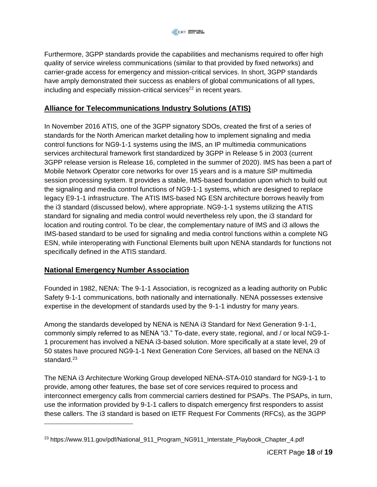Furthermore, 3GPP standards provide the capabilities and mechanisms required to offer high quality of service wireless communications (similar to that provided by fixed networks) and carrier-grade access for emergency and mission-critical services. In short, 3GPP standards have amply demonstrated their success as enablers of global communications of all types, including and especially mission-critical services $^{22}$  in recent years.

## **[Alliance for Telecommunications Industry Solutions \(ATIS\)](https://www.atis.org/)**

In November 2016 ATIS, one of the 3GPP signatory SDOs, created the first of a series of standards for the North American market detailing how to implement signaling and media control functions for NG9-1-1 systems using the IMS, an IP multimedia communications services architectural framework first standardized by 3GPP in Release 5 in 2003 (current 3GPP release version is Release 16, completed in the summer of 2020). IMS has been a part of Mobile Network Operator core networks for over 15 years and is a mature SIP multimedia session processing system. It provides a stable, IMS-based foundation upon which to build out the signaling and media control functions of NG9-1-1 systems, which are designed to replace legacy E9-1-1 infrastructure. The ATIS IMS-based NG ESN architecture borrows heavily from the i3 standard (discussed below), where appropriate. NG9-1-1 systems utilizing the ATIS standard for signaling and media control would nevertheless rely upon, the i3 standard for location and routing control. To be clear, the complementary nature of IMS and i3 allows the IMS-based standard to be used for signaling and media control functions within a complete NG ESN, while interoperating with Functional Elements built upon NENA standards for functions not specifically defined in the ATIS standard.

### **[National Emergency Number Association](https://www.nena.org/)**

Founded in 1982, NENA: The 9-1-1 Association, is recognized as a leading authority on Public Safety 9-1-1 communications, both nationally and internationally. NENA possesses extensive expertise in the development of standards used by the 9-1-1 industry for many years.

Among the standards developed by NENA is NENA i3 Standard for Next Generation 9-1-1, commonly simply referred to as NENA "i3." To-date, every state, regional, and / or local NG9-1- 1 procurement has involved a NENA i3-based solution. More specifically at a state level, 29 of 50 states have procured NG9-1-1 Next Generation Core Services, all based on the NENA i3 standard. $23$ 

The NENA i3 Architecture Working Group developed NENA-STA-010 standard for NG9-1-1 to provide, among other features, the base set of core services required to process and interconnect emergency calls from commercial carriers destined for PSAPs. The PSAPs, in turn, use the information provided by 9-1-1 callers to dispatch emergency first responders to assist these callers. The i3 standard is based on IETF Request For Comments (RFCs), as the 3GPP

<sup>&</sup>lt;sup>23</sup> https://www.911.gov/pdf/National\_911\_Program\_NG911\_Interstate\_Playbook\_Chapter\_4.pdf